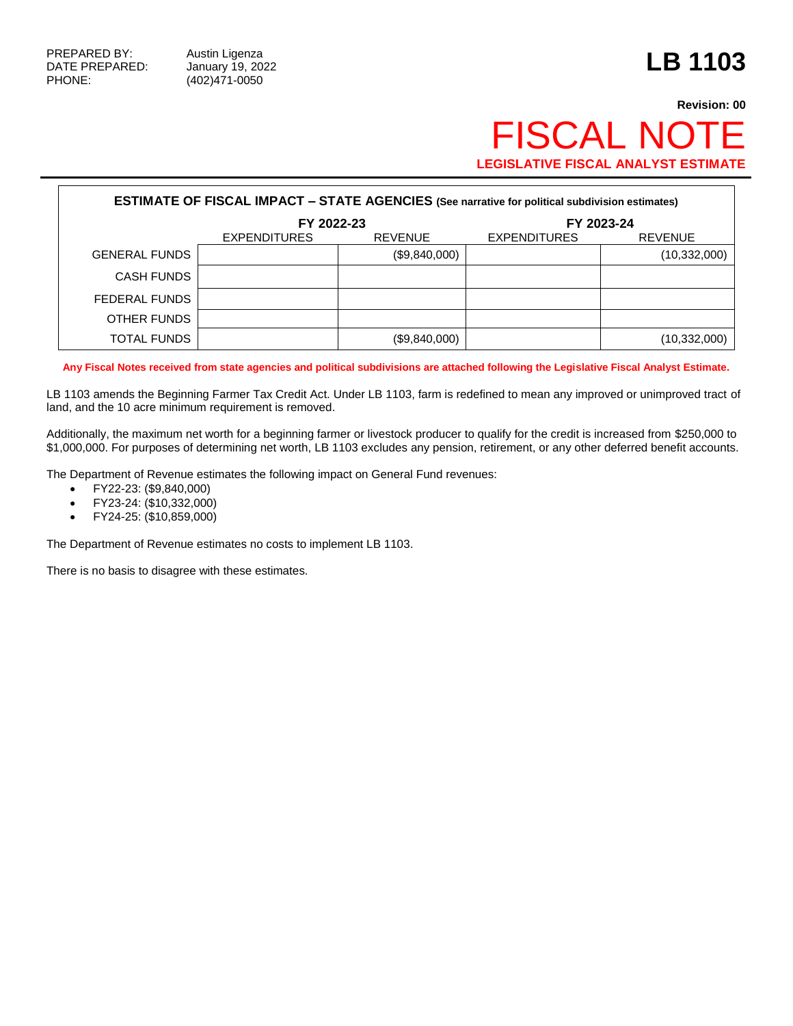## **Revision: 00 FISCAL NOT LEGISLATIVE FISCAL ANALYST ESTIMATE**

| <b>ESTIMATE OF FISCAL IMPACT - STATE AGENCIES (See narrative for political subdivision estimates)</b> |                     |                |                     |                |  |  |
|-------------------------------------------------------------------------------------------------------|---------------------|----------------|---------------------|----------------|--|--|
|                                                                                                       | FY 2022-23          |                | FY 2023-24          |                |  |  |
|                                                                                                       | <b>EXPENDITURES</b> | <b>REVENUE</b> | <b>EXPENDITURES</b> | <b>REVENUE</b> |  |  |
| <b>GENERAL FUNDS</b>                                                                                  |                     | (\$9,840,000)  |                     | (10, 332, 000) |  |  |
| <b>CASH FUNDS</b>                                                                                     |                     |                |                     |                |  |  |
| FEDERAL FUNDS                                                                                         |                     |                |                     |                |  |  |
| OTHER FUNDS                                                                                           |                     |                |                     |                |  |  |
| <b>TOTAL FUNDS</b>                                                                                    |                     | (\$9,840,000)  |                     | (10, 332, 000) |  |  |

**Any Fiscal Notes received from state agencies and political subdivisions are attached following the Legislative Fiscal Analyst Estimate.**

LB 1103 amends the Beginning Farmer Tax Credit Act. Under LB 1103, farm is redefined to mean any improved or unimproved tract of land, and the 10 acre minimum requirement is removed.

Additionally, the maximum net worth for a beginning farmer or livestock producer to qualify for the credit is increased from \$250,000 to \$1,000,000. For purposes of determining net worth, LB 1103 excludes any pension, retirement, or any other deferred benefit accounts.

The Department of Revenue estimates the following impact on General Fund revenues:

- FY22-23: (\$9,840,000)
- FY23-24: (\$10,332,000)
- FY24-25: (\$10,859,000)

The Department of Revenue estimates no costs to implement LB 1103.

There is no basis to disagree with these estimates.